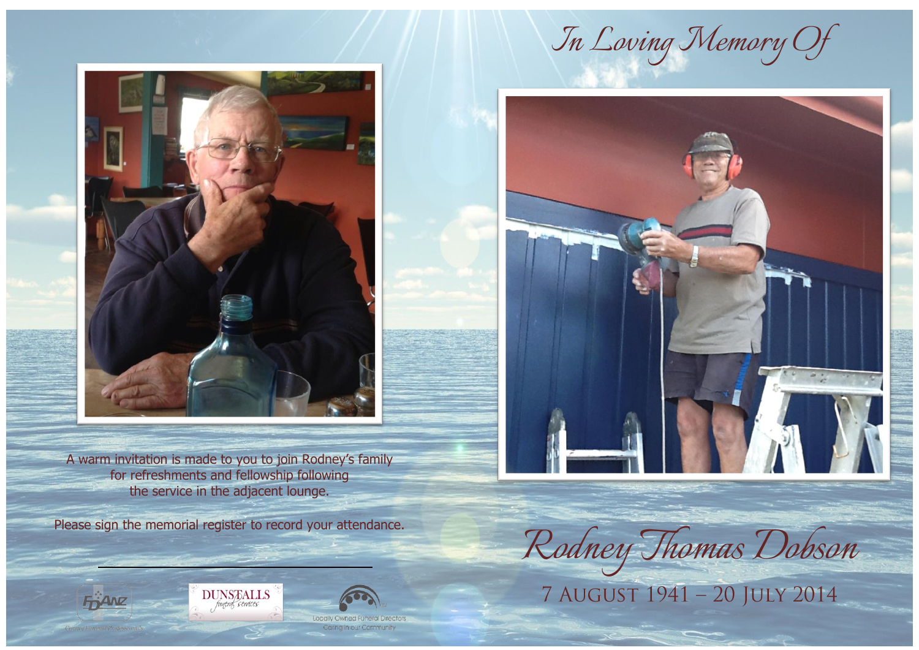

A warm invitation is made to you to join Rodney's family for refreshments and fellowship following the service in the adjacent lounge.

Please sign the memorial register to record your attendance.

**FRANZ** 

*In Loving Memory Of*

![](_page_0_Picture_4.jpeg)

*Rodney Thomas Dobson*

![](_page_0_Picture_7.jpeg)

Locally Owned Fune Carina in our Commun